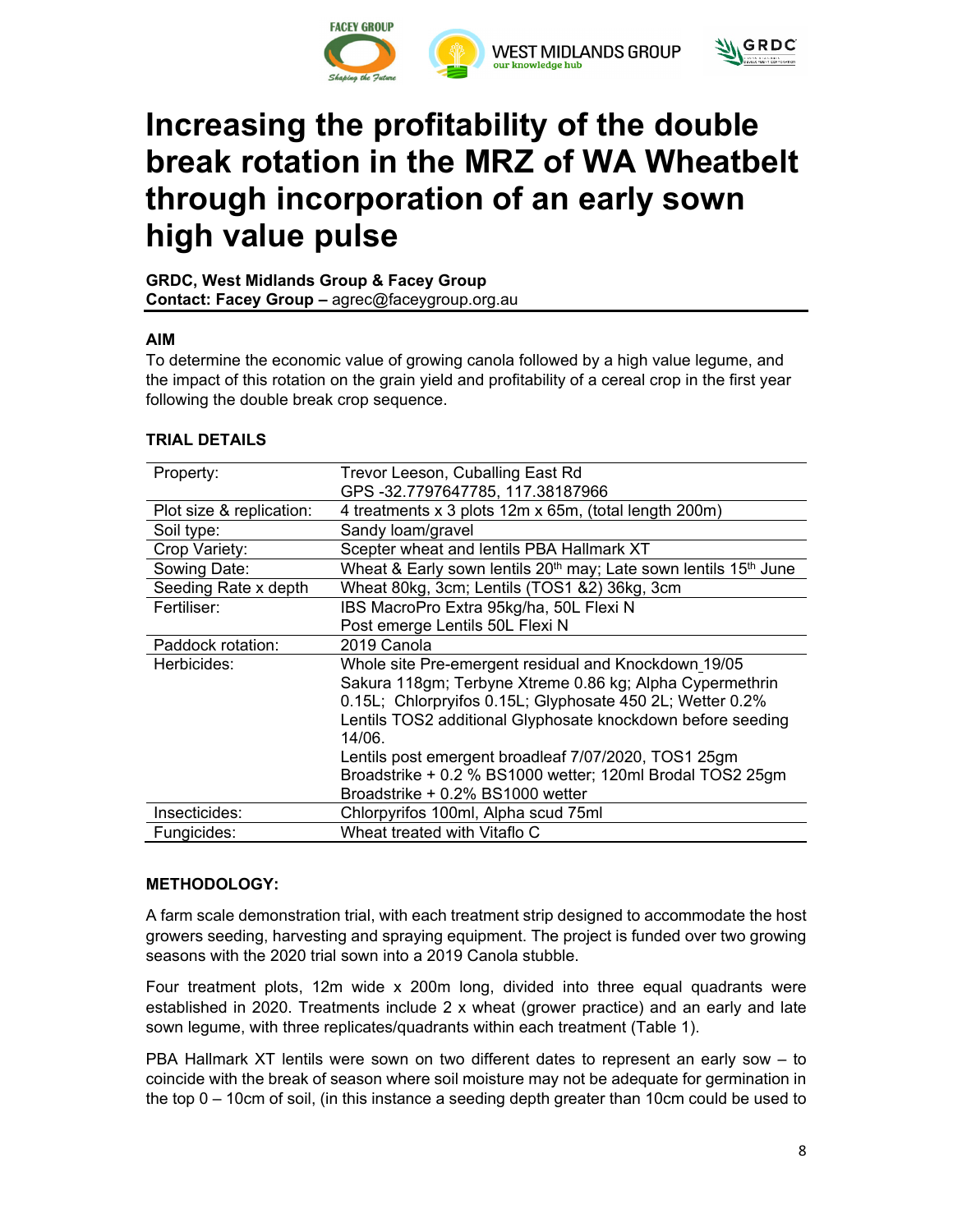



# **Increasing the profitability of the double break rotation in the MRZ of WA Wheatbelt through incorporation of an early sown high value pulse**

**GRDC, West Midlands Group & Facey Group Contact: Facey Group –** agrec@faceygroup.org.au

## **AIM**

To determine the economic value of growing canola followed by a high value legume, and the impact of this rotation on the grain yield and profitability of a cereal crop in the first year following the double break crop sequence.

| Property:                | Trevor Leeson, Cuballing East Rd                                                         |
|--------------------------|------------------------------------------------------------------------------------------|
|                          | GPS -32.7797647785, 117.38187966                                                         |
| Plot size & replication: | 4 treatments x 3 plots 12m x 65m, (total length 200m)                                    |
| Soil type:               | Sandy loam/gravel                                                                        |
| Crop Variety:            | Scepter wheat and lentils PBA Hallmark XT                                                |
| Sowing Date:             | Wheat & Early sown lentils 20 <sup>th</sup> may; Late sown lentils 15 <sup>th</sup> June |
| Seeding Rate x depth     | Wheat 80kg, 3cm; Lentils (TOS1 &2) 36kg, 3cm                                             |
| Fertiliser:              | IBS MacroPro Extra 95kg/ha, 50L Flexi N                                                  |
|                          | Post emerge Lentils 50L Flexi N                                                          |
| Paddock rotation:        | 2019 Canola                                                                              |
| Herbicides:              | Whole site Pre-emergent residual and Knockdown 19/05                                     |
|                          | Sakura 118gm; Terbyne Xtreme 0.86 kg; Alpha Cypermethrin                                 |
|                          | 0.15L; Chlorpryifos 0.15L; Glyphosate 450 2L; Wetter 0.2%                                |
|                          | Lentils TOS2 additional Glyphosate knockdown before seeding                              |
|                          | 14/06                                                                                    |
|                          | Lentils post emergent broadleaf 7/07/2020, TOS1 25gm                                     |
|                          | Broadstrike + 0.2 % BS1000 wetter; 120ml Brodal TOS2 25gm                                |
|                          | Broadstrike + 0.2% BS1000 wetter                                                         |
| Insecticides:            | Chlorpyrifos 100ml, Alpha scud 75ml                                                      |
| Fungicides:              | Wheat treated with Vitaflo C                                                             |

## **TRIAL DETAILS**

## **METHODOLOGY:**

A farm scale demonstration trial, with each treatment strip designed to accommodate the host growers seeding, harvesting and spraying equipment. The project is funded over two growing seasons with the 2020 trial sown into a 2019 Canola stubble.

Four treatment plots, 12m wide x 200m long, divided into three equal quadrants were established in 2020. Treatments include 2 x wheat (grower practice) and an early and late sown legume, with three replicates/quadrants within each treatment (Table 1).

PBA Hallmark XT lentils were sown on two different dates to represent an early sow – to coincide with the break of season where soil moisture may not be adequate for germination in the top 0 – 10cm of soil, (in this instance a seeding depth greater than 10cm could be used to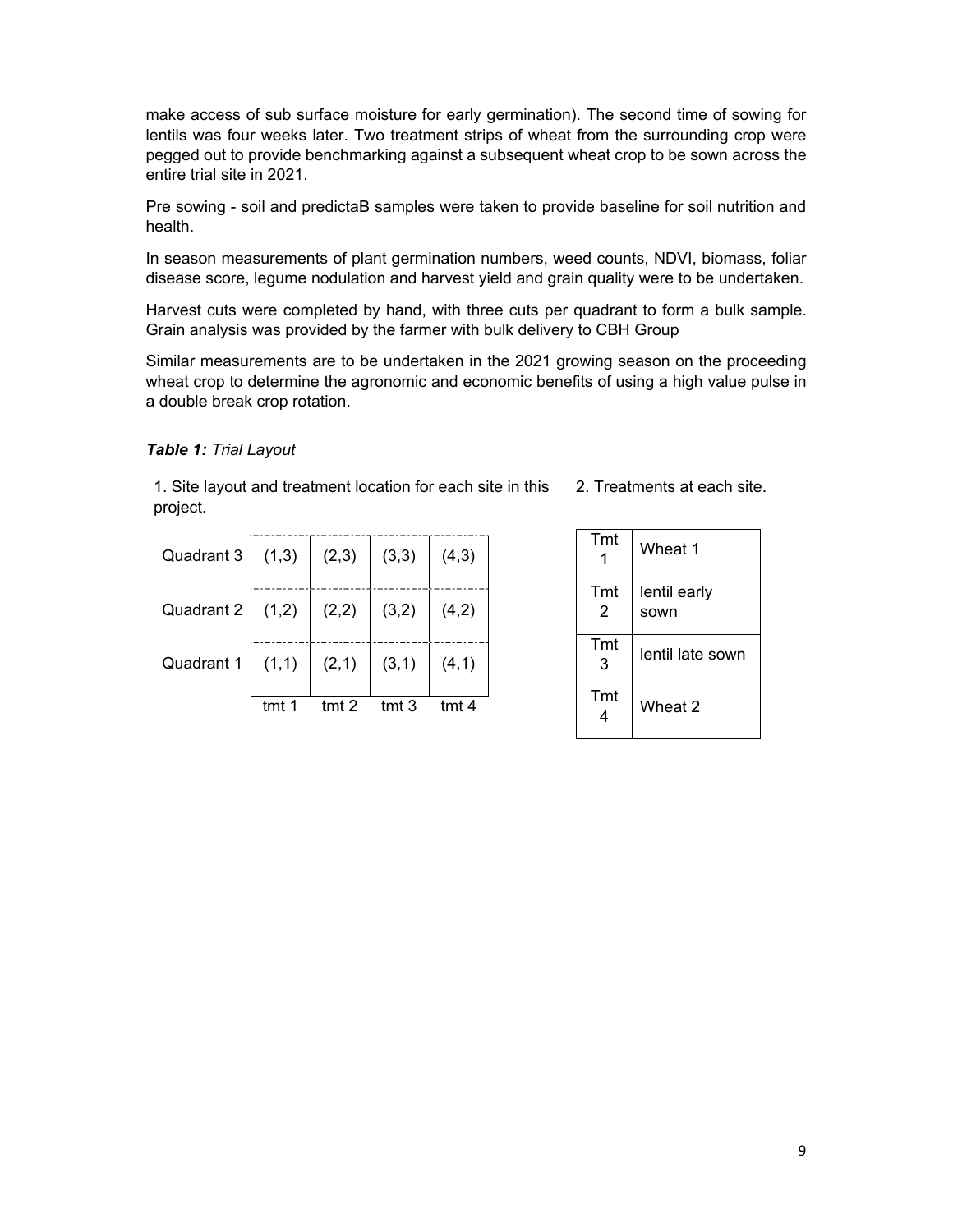make access of sub surface moisture for early germination). The second time of sowing for lentils was four weeks later. Two treatment strips of wheat from the surrounding crop were pegged out to provide benchmarking against a subsequent wheat crop to be sown across the entire trial site in 2021.

Pre sowing - soil and predictaB samples were taken to provide baseline for soil nutrition and health.

In season measurements of plant germination numbers, weed counts, NDVI, biomass, foliar disease score, legume nodulation and harvest yield and grain quality were to be undertaken.

Harvest cuts were completed by hand, with three cuts per quadrant to form a bulk sample. Grain analysis was provided by the farmer with bulk delivery to CBH Group

Similar measurements are to be undertaken in the 2021 growing season on the proceeding wheat crop to determine the agronomic and economic benefits of using a high value pulse in a double break crop rotation.

#### *Table 1: Trial Layout*

1. Site layout and treatment location for each site in this 2. Treatments at each site. project.

| Quadrant 3 $(1,3)$ $(2,3)$ $(3,3)$ $(4,3)$ |          |                  |       |        |
|--------------------------------------------|----------|------------------|-------|--------|
| Quadrant 2 $(1,2) (2,2)$                   |          |                  | (3,2) | (4,2)  |
| Quadrant $1 \mid (1,1)$                    |          | (2,1)            | (3,1) | (4, 1) |
|                                            | $t$ mt 1 | tmt <sub>2</sub> | tmt.3 | tmt4   |

| Tmt      | Wheat 1              |
|----------|----------------------|
| Tmt<br>2 | lentil early<br>sown |
| Tmt<br>3 | lentil late sown     |
| Tmt      | Wheat 2              |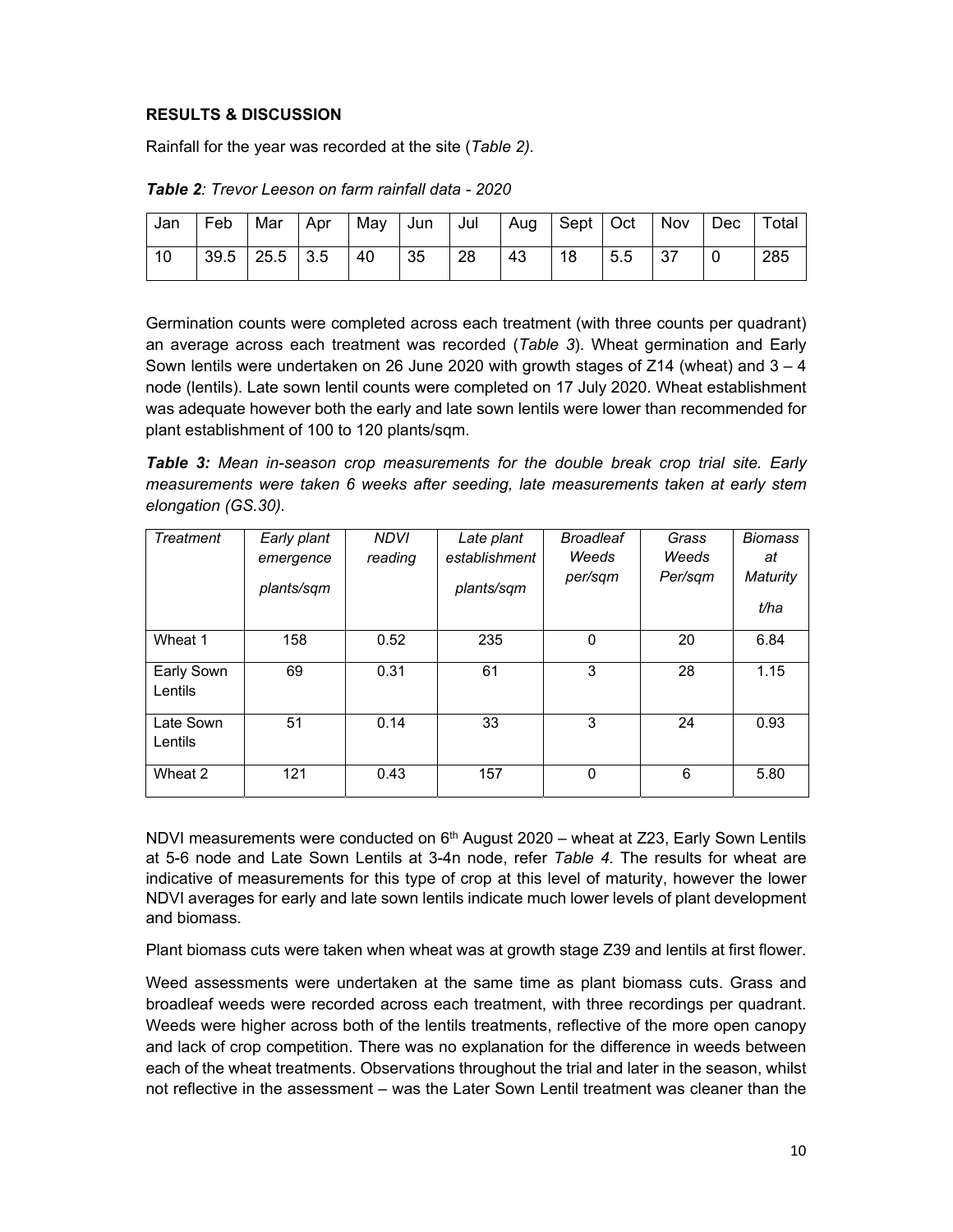### **RESULTS & DISCUSSION**

Rainfall for the year was recorded at the site (*Table 2).* 

| Jan | Feb   Mar   Apr   |  | May   Jun   Jul |            |    |    |    |     | Aug   Sept   Oct   Nov   Dec   Total |     |
|-----|-------------------|--|-----------------|------------|----|----|----|-----|--------------------------------------|-----|
| 10  | 39.5   25.5   3.5 |  | $\vert$ 40      | $\vert$ 35 | 28 | 43 | 18 | 5.5 |                                      | 285 |

*Table 2: Trevor Leeson on farm rainfall data - 2020* 

Germination counts were completed across each treatment (with three counts per quadrant) an average across each treatment was recorded (*Table 3*). Wheat germination and Early Sown lentils were undertaken on 26 June 2020 with growth stages of  $Z14$  (wheat) and  $3 - 4$ node (lentils). Late sown lentil counts were completed on 17 July 2020. Wheat establishment was adequate however both the early and late sown lentils were lower than recommended for plant establishment of 100 to 120 plants/sqm.

*Table 3: Mean in-season crop measurements for the double break crop trial site. Early measurements were taken 6 weeks after seeding, late measurements taken at early stem elongation (GS.30).* 

| Treatment             | Early plant<br>emergence<br>plants/sqm | <b>NDVI</b><br>reading | Late plant<br>establishment<br>plants/sqm | <b>Broadleaf</b><br>Weeds<br>per/sqm | Grass<br>Weeds<br>Per/sam | <b>Biomass</b><br>at<br>Maturity<br>t/ha |
|-----------------------|----------------------------------------|------------------------|-------------------------------------------|--------------------------------------|---------------------------|------------------------------------------|
| Wheat 1               | 158                                    | 0.52                   | 235                                       | 0                                    | 20                        | 6.84                                     |
| Early Sown<br>Lentils | 69                                     | 0.31                   | 61                                        | 3                                    | 28                        | 1.15                                     |
| Late Sown<br>Lentils  | 51                                     | 0.14                   | 33                                        | 3                                    | 24                        | 0.93                                     |
| Wheat 2               | 121                                    | 0.43                   | 157                                       | $\mathbf 0$                          | 6                         | 5.80                                     |

NDVI measurements were conducted on  $6<sup>th</sup>$  August 2020 – wheat at Z23, Early Sown Lentils at 5-6 node and Late Sown Lentils at 3-4n node, refer *Table 4.* The results for wheat are indicative of measurements for this type of crop at this level of maturity, however the lower NDVI averages for early and late sown lentils indicate much lower levels of plant development and biomass.

Plant biomass cuts were taken when wheat was at growth stage Z39 and lentils at first flower.

Weed assessments were undertaken at the same time as plant biomass cuts. Grass and broadleaf weeds were recorded across each treatment, with three recordings per quadrant. Weeds were higher across both of the lentils treatments, reflective of the more open canopy and lack of crop competition. There was no explanation for the difference in weeds between each of the wheat treatments. Observations throughout the trial and later in the season, whilst not reflective in the assessment – was the Later Sown Lentil treatment was cleaner than the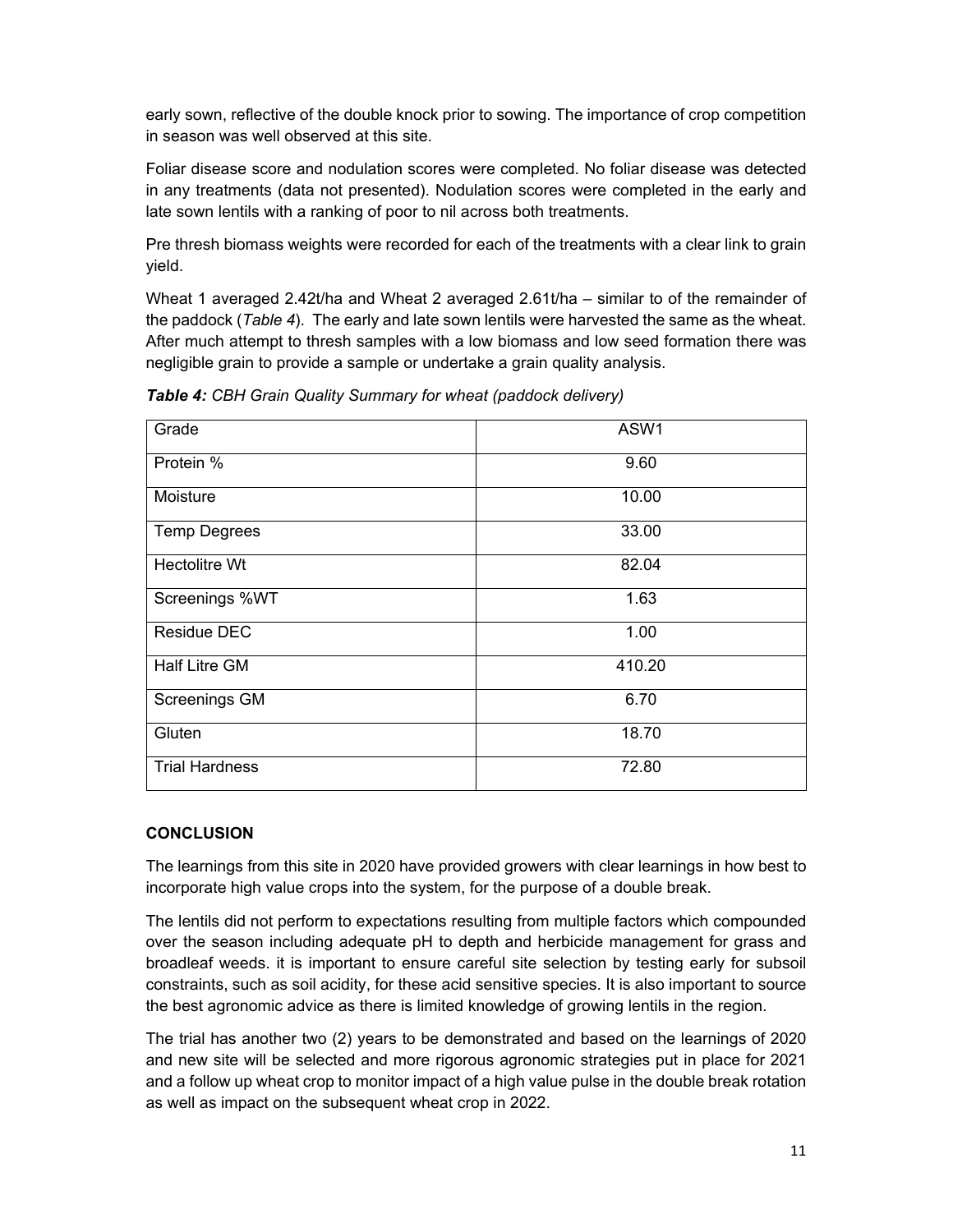early sown, reflective of the double knock prior to sowing. The importance of crop competition in season was well observed at this site.

Foliar disease score and nodulation scores were completed. No foliar disease was detected in any treatments (data not presented). Nodulation scores were completed in the early and late sown lentils with a ranking of poor to nil across both treatments.

Pre thresh biomass weights were recorded for each of the treatments with a clear link to grain yield.

Wheat 1 averaged 2.42t/ha and Wheat 2 averaged 2.61t/ha – similar to of the remainder of the paddock (*Table 4*). The early and late sown lentils were harvested the same as the wheat. After much attempt to thresh samples with a low biomass and low seed formation there was negligible grain to provide a sample or undertake a grain quality analysis.

| Grade                 | ASW1   |
|-----------------------|--------|
| Protein %             | 9.60   |
| Moisture              | 10.00  |
| <b>Temp Degrees</b>   | 33.00  |
| <b>Hectolitre Wt</b>  | 82.04  |
| Screenings %WT        | 1.63   |
| <b>Residue DEC</b>    | 1.00   |
| <b>Half Litre GM</b>  | 410.20 |
| <b>Screenings GM</b>  | 6.70   |
| Gluten                | 18.70  |
| <b>Trial Hardness</b> | 72.80  |

*Table 4: CBH Grain Quality Summary for wheat (paddock delivery)* 

## **CONCLUSION**

The learnings from this site in 2020 have provided growers with clear learnings in how best to incorporate high value crops into the system, for the purpose of a double break.

The lentils did not perform to expectations resulting from multiple factors which compounded over the season including adequate pH to depth and herbicide management for grass and broadleaf weeds. it is important to ensure careful site selection by testing early for subsoil constraints, such as soil acidity, for these acid sensitive species. It is also important to source the best agronomic advice as there is limited knowledge of growing lentils in the region.

The trial has another two (2) years to be demonstrated and based on the learnings of 2020 and new site will be selected and more rigorous agronomic strategies put in place for 2021 and a follow up wheat crop to monitor impact of a high value pulse in the double break rotation as well as impact on the subsequent wheat crop in 2022.